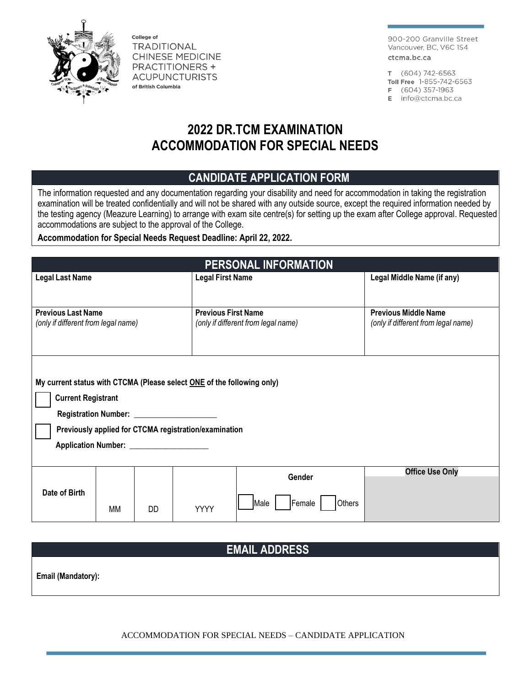

College of **TRADITIONAL CHINESE MEDICINE PRACTITIONERS + ACUPUNCTURISTS** of British Columbia

900-200 Granville Street Vancouver, BC, V6C 1S4 ctcma.bc.ca

T (604) 742-6563

Toll Free 1-855-742-6563

F (604) 357-1963

E info@ctcma.bc.ca

# **2022 DR.TCM EXAMINATION ACCOMMODATION FOR SPECIAL NEEDS**

### **CANDIDATE APPLICATION FORM**

The information requested and any documentation regarding your disability and need for accommodation in taking the registration examination will be treated confidentially and will not be shared with any outside source, except the required information needed by the testing agency (Meazure Learning) to arrange with exam site centre(s) for setting up the exam after College approval. Requested accommodations are subject to the approval of the College.

**Accommodation for Special Needs Request Deadline: April 22, 2022.**

| PERSONAL INFORMATION                                                   |           |           |                            |                                     |                                                                    |  |
|------------------------------------------------------------------------|-----------|-----------|----------------------------|-------------------------------------|--------------------------------------------------------------------|--|
| <b>Legal Last Name</b>                                                 |           |           | <b>Legal First Name</b>    |                                     | Legal Middle Name (if any)                                         |  |
|                                                                        |           |           |                            |                                     |                                                                    |  |
| <b>Previous Last Name</b><br>(only if different from legal name)       |           |           | <b>Previous First Name</b> | (only if different from legal name) | <b>Previous Middle Name</b><br>(only if different from legal name) |  |
|                                                                        |           |           |                            |                                     |                                                                    |  |
|                                                                        |           |           |                            |                                     |                                                                    |  |
|                                                                        |           |           |                            |                                     |                                                                    |  |
| My current status with CTCMA (Please select ONE of the following only) |           |           |                            |                                     |                                                                    |  |
| <b>Current Registrant</b>                                              |           |           |                            |                                     |                                                                    |  |
| Registration Number: _____________________                             |           |           |                            |                                     |                                                                    |  |
| Previously applied for CTCMA registration/examination                  |           |           |                            |                                     |                                                                    |  |
| Application Number: ___________________                                |           |           |                            |                                     |                                                                    |  |
| Date of Birth                                                          |           |           |                            | Gender                              | <b>Office Use Only</b>                                             |  |
|                                                                        |           |           |                            |                                     |                                                                    |  |
|                                                                        | <b>MM</b> | <b>DD</b> | <b>YYYY</b>                | Male<br>Female<br><b>Others</b>     |                                                                    |  |
|                                                                        |           |           |                            |                                     |                                                                    |  |
| <b>EMAIL ADDRESS</b>                                                   |           |           |                            |                                     |                                                                    |  |
|                                                                        |           |           |                            |                                     |                                                                    |  |

**Email (Mandatory):**

ACCOMMODATION FOR SPECIAL NEEDS – CANDIDATE APPLICATION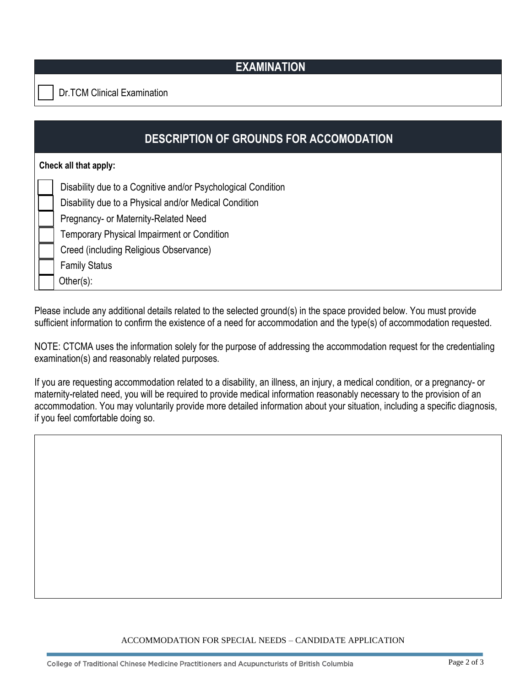### **EXAMINATION**

Dr.TCM Clinical Examination

| <b>DESCRIPTION OF GROUNDS FOR ACCOMODATION</b> |                                                                                                                                                                                                                                                                               |  |  |  |  |
|------------------------------------------------|-------------------------------------------------------------------------------------------------------------------------------------------------------------------------------------------------------------------------------------------------------------------------------|--|--|--|--|
| Check all that apply:                          |                                                                                                                                                                                                                                                                               |  |  |  |  |
|                                                | Disability due to a Cognitive and/or Psychological Condition<br>Disability due to a Physical and/or Medical Condition<br>Pregnancy- or Maternity-Related Need<br>Temporary Physical Impairment or Condition<br>Creed (including Religious Observance)<br><b>Family Status</b> |  |  |  |  |
|                                                | Other(s):                                                                                                                                                                                                                                                                     |  |  |  |  |

Please include any additional details related to the selected ground(s) in the space provided below. You must provide sufficient information to confirm the existence of a need for accommodation and the type(s) of accommodation requested.

NOTE: CTCMA uses the information solely for the purpose of addressing the accommodation request for the credentialing examination(s) and reasonably related purposes.

If you are requesting accommodation related to a disability, an illness, an injury, a medical condition, or a pregnancy- or maternity-related need, you will be required to provide medical information reasonably necessary to the provision of an accommodation. You may voluntarily provide more detailed information about your situation, including a specific diagnosis, if you feel comfortable doing so.

#### ACCOMMODATION FOR SPECIAL NEEDS – CANDIDATE APPLICATION